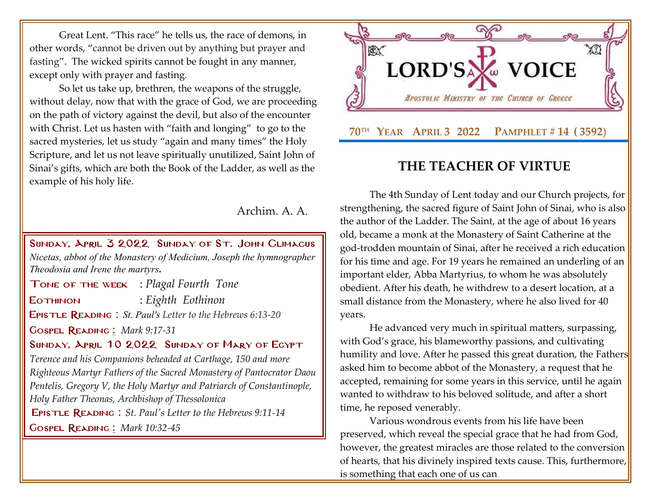Great Lent. "This race" he tells us, the race of demons, in other words, "cannot be driven out by anything but prayer and fasting". The wicked spirits cannot be fought in any manner, except only with prayer and fasting.

So let us take up, brethren, the weapons of the struggle, without delay, now that with the grace of God, we are proceeding on the path of victory against the devil, but also of the encounter with Christ. Let us hasten with "faith and longing" to go to the sacred mysteries, let us study "again and many times" the Holy Scripture, and let us not leave spiritually unutilized, Saint John of Sinai's gifts, which are both the Book of the Ladder, as well as the example of his holy life.

Archim. A. A.

Sunday, April 3 2022 Sunday [of St. John Climacus](http://www.goarch.org/chapel/saints?contentid=1016&PCode=MEATS&D=S&date=02/27/2022)  *Nicetas, abbot of the Monastery of Medicium, Joseph the hymnographer Theodosia and Irene the martyrs.*

Tone of the week : *Plagal Fourth Tone* Eothinon : *Eighth Eothinon* Epistle Reading : *St. Paul's Letter to the Hebrews 6:13-20* Gospel Reading **[:](http://www.goarch.org/chapel/lectionary?type=G&code=362&event=218)** *[Mark 9:17-31](http://www.goarch.org/chapel/lectionary?type=G&code=324&event=1083)* SUNDAY, APRIL 10 2022 SUNDAY OF MARY OF EGYPT

*[Terence and his Companions beheaded at Carthage, 150 and more](http://www.goarch.org/chapel/saints?contentid=13)  [Righteous Martyr Fathers of the Sacred Monastery of Pantocrator Daou](http://www.goarch.org/chapel/saints?contentid=13)  [Pentelis, Gregory V, the Holy Martyr and Patriarch of Constantinople,](http://www.goarch.org/chapel/saints?contentid=13)  [Holy Father Theonas, Archbishop of Thessolonica](http://www.goarch.org/chapel/saints?contentid=13)* [E](http://www.goarch.org/chapel/saints?contentid=13)pistle Reading : *[St. Paul's Letter to the Hebrews 9:11-14](http://www.goarch.org/chapel/lectionary?type=E&code=245&event=900&date=04/10/2022)*

Gospel Reading **[:](http://www.goarch.org/chapel/lectionary?type=G&code=362&event=218)** *[Mark 10:32-45](http://www.goarch.org/chapel/lectionary?type=G&code=300&event=900)*



## **THE TEACHER OF VIRTUE**

The 4th Sunday of Lent today and our Church projects, for strengthening, the sacred figure of Saint John of Sinai, who is also the author of the Ladder. The Saint, at the age of about 16 years old, became a monk at the Monastery of Saint Catherine at the god-trodden mountain of Sinai, after he received a rich education for his time and age. For 19 years he remained an underling of an important elder, Abba Martyrius, to whom he was absolutely obedient. After his death, he withdrew to a desert location, at a small distance from the Monastery, where he also lived for 40 years.

He advanced very much in spiritual matters, surpassing, with God's grace, his blameworthy passions, and cultivating humility and love. After he passed this great duration, the Fathers asked him to become abbot of the Monastery, a request that he accepted, remaining for some years in this service, until he again wanted to withdraw to his beloved solitude, and after a short time, he reposed venerably.

Various wondrous events from his life have been preserved, which reveal the special grace that he had from God, however, the greatest miracles are those related to the conversion of hearts, that his divinely inspired texts cause. This, furthermore, is something that each one of us can